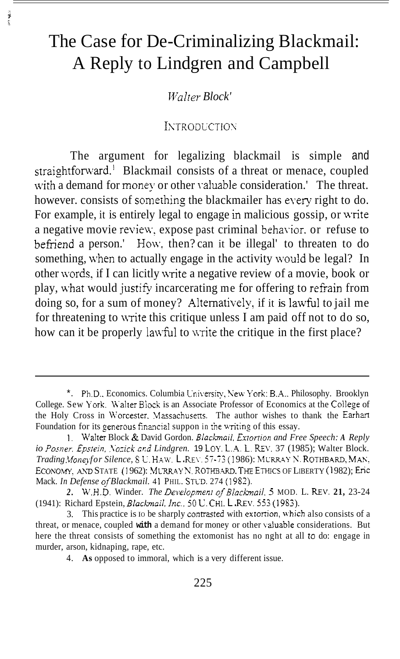# The Case for De-Criminalizing Blackmail: A Reply to Lindgren and Campbell

in van

*Walter Block'* 

#### **INTRODUCTION**

The argument for legalizing blackmail is simple and straightforward.' Blackmail consists of a threat or menace, coupled with a demand for money or other valuable consideration.' The threat. however. consists of something the blackmailer has eyery right to do. For example, it is entirely legal to engage in malicious gossip, or write a negative movie review, expose past criminal behavior, or refuse to befriend a person.' How, then? can it be illegal' to threaten to do something, when to actually engage in the activity would be legal? In other words, if I can licitly write a negative review of a movie, book or play, what would justifv incarcerating me for offering to refrain from doing so, for a sum of money? Alternatively, if it is lawful to jail me for threatening to write this critique unless I am paid off not to do so, how can it be properly lawful to write the critique in the first place?

<sup>\*.</sup> Ph.D.. Economics. Columbia L'niversiry, New Y'ork: B.A.. Philosophy. Brooklyn College. Sew York. Walter Block is an Associate Professor of Economics at the College of the Holy Cross in Worcester. Massachusetts. The author wishes to thank the Earhart Foundation for its generous financial suppon in the writing of this essay.

<sup>1.</sup> Walter Block & David Gordon. *Blackmail*, Extortion and Free Speech: A Reply *io Posner, Epstein, Nozick and Lindgren.* **19** LOY. L.A. L. REV. 37 (1985); Walter Block. *Trading Money for Silence, SU. HAW. L. REV. 57-73 (1986): MURRAY N. ROTHBARD, MAN,* ECONOMY, AND STATE (1962): MURRAY N. ROTHBARD. THE ETHICS OF LIBERTY (1982); Eric Mack. *In Defense of Blackmail.* 4 1 PHIL. STLD. 274 (1 9S2).

<sup>2.</sup> W.H.D. Winder. *The Development of Blackmail*. 5 MOD. L. REV. 21, 23-24 (1941): Richard Epstein, *Blackmail, Inc.*, 50 U. CHI. L.REV. 553 (1983).

<sup>3.</sup> This practice is to be sharply contrasted with extortion, which also consists of a threat, or menace, coupled **with** a demand for money or other \ahable considerations. But here the threat consists of something the extomonist has no nght at all to do: engage in murder, arson, kidnaping, rape, etc.

<sup>4.</sup> **As** opposed to immoral, which is a very different issue.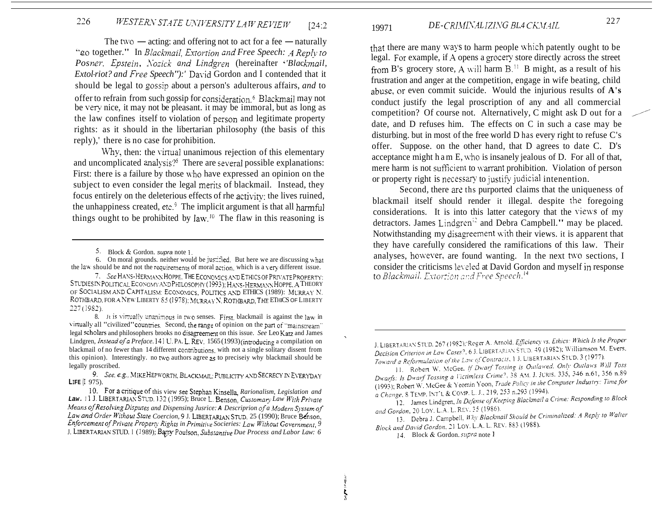#### 226 WESTERN STATE UNIVERSITY LAW REVIEW  $124:2$

The two — acting: and offering not to act for a fee — naturally "go together." In Blackmail, Extortion and Free Speech: A Reply to Posner, Epstein, Nozick and Lindgren (hereinafter 'Blackmail, Extol riot? and Free Speech"):' David Gordon and I contended that it should be legal to gossip about a person's adulterous affairs, and to offer to refrain from such gossip for consideration <sup>6</sup> Blackmail may not be very nice, it may not be pleasant. it may be immoral, but as long as the law confines itself to violation of person and legitimate property rights: as it should in the libertarian philosophy (the basis of this reply),' there is no case for prohibition.

Why, then: the virtual unanimous rejection of this elementary and uncomplicated analysis?<sup>§</sup> There are several possible explanations: First: there is a failure by those who have expressed an opinion on the subject to even consider the legal merits of blackmail. Instead, they focus entirely on the deleterious effects of rhe activity; the lives ruined, the unhappiness created, etc.<sup>9</sup> The implicit argument is that all harmful things ought to be prohibited by  $law$ .<sup>10</sup> The flaw in this reasoning is

6. On moral grounds, neither would be justified. But here we are discussing what the law should be and not the requirements of moral action, which is a very different issue.

#### DE-CRIMINALIZING BLA CKMAIL 19971

that there are many ways to harm people which patently ought to be legal. For example, if A opens a grocery store directly across the street from B's grocery store, A will harm  $B<sup>{11}</sup>$  B might, as a result of his frustration and anger at the competition, engage in wife beating, child abuse, or even commit suicide. Would the injurious results of A's conduct justify the legal proscription of any and all commercial competition? Of course not. Alternatively, C might ask D out for a date, and D refuses him. The effects on C in such a case may be disturbing, but in most of the free world D has every right to refuse C's offer. Suppose. on the other hand, that D agrees to date C. D's acceptance might h a m E, who is insanely jealous of D. For all of that, mere harm is not sufficient to warrant prohibition. Violation of person or property right is necessary to justify judicial intenention.

Second, there are the purported claims that the uniqueness of blackmail itself should render it illegal. despite the foregoing considerations. It is into this latter category that the views of my detractors. James Lindgren<sup>12</sup> and Debra Campbell." may be placed. Notwithstanding my disagreement with their views. it is apparent that they have carefully considered the ramifications of this law. Their analyses, however, are found wanting. In the next two sections, I consider the criticisms leveled at David Gordon and myself in response to Blackmail, Extortion and Free Speech.<sup>14</sup>

<sup>5.</sup> Block & Gordon, supra note  $\mathbf{I}$ .

<sup>7.</sup> See HANS-HERMANN HOPPE. THE ECONOMICS AND ETHICS OF PRIVATE PROPERTY: STUDIES IN POLITICAL ECONOMY AND PHILOSOPHY (1993); HANS-HERMANN HOPPE, A THEORY OF SOCIALISM AND CAPITALISM: ECONOMICS, POLITICS AND ETHICS (1989): MURRAY N. ROTHBARD, FOR A NEW LIBERTY 85 (1978); MURRAY N, ROTHBARD, THE ETHICS OF LIBERTY  $227(1982)$ .

<sup>8.</sup> It is virtually unanimous in two senses. First, blackmail is against the law in virtually all "civilized" countries. Second, the range of opinion on the part of "mainstream" legal scholars and philosophers brooks no disagreement on this issue. See Leo Katz and James Lindgren, Instead of a Preface. 141 U. PA. L. REV. 1565 (1993) (introducing a compilation on blackmail of no fewer than 14 different contributions with not a single solitary dissent from this opinion). Interestingly, no two authors agree 25 to precisely why blackmail should be legally proscribed.

<sup>9.</sup> See, e.g., MIKE HEPWORTH, BLACKMAIL: PUBLICITY AND SECRECY IN EVERYDAY LIFE (I 975).

<sup>10.</sup> For a critique of this view see Stephan Kinsella, Rarionalism, Legislation and Law. 11 J. LIBERTARIAN STUD. 132 (1995); Bruce L. Benson, Customary Law With Private Means of Resolving Disputes and Dispensing Jusrice: A Descriprion of a Modern System of Law and Order Without State Coercion, 9 J. LIBERTARIAN STUD, 25 (1990); Bruce Benson, Enforcement of Private Property Rights in Primitive Socieries: Law Without Government, 9 J. LIBERTARIAN STUD. I (1989); Barry Poulson, Substantive Due Process and Labor Law: 6

J. LIBERTARIAN STUD. 267 (1982); Roger A. Arnold. Efficiency vs. Ethics: Which Is the Proper Decision Criterion in Law Cases?, 6 J. LIBERTARIAN STUD, 49 (1982); Williamson M. Evers. Toward a Reformulation of the Law of Contracts, 1 J. LIBERTARIAN STUD, 3 (1977).

<sup>11.</sup> Robert W. McGee. If Dwarf Tossing is Outlawed. Only Outlaws Will Toss Dwarfs: Is Dwarf Tossing a Victimless Crime?, 38 AM. J. JURIS. 335, 346 n.61, 356 n.89 (1993); Robert W. McGee & Yeomin Yoon, Trade Policy in the Computer Industry: Time for a Change, 8 TEMP. INT'L & COMP. L. J., 219, 253 n.293 (1994).

<sup>12.</sup> James Lindgren, In Defense of Keeping Blackmail a Crime: Responding to Block and Gordon, 20 LOY, L.A. L. REV. 35 (1986).

<sup>13.</sup> Debra J. Campbell, Why Blackmail Should be Criminalized: A Reply to Walter Block and David Gordon, 21 LOY. L.A. L. REV. 883 (1988).

<sup>14.</sup> Block & Gordon. supra note 1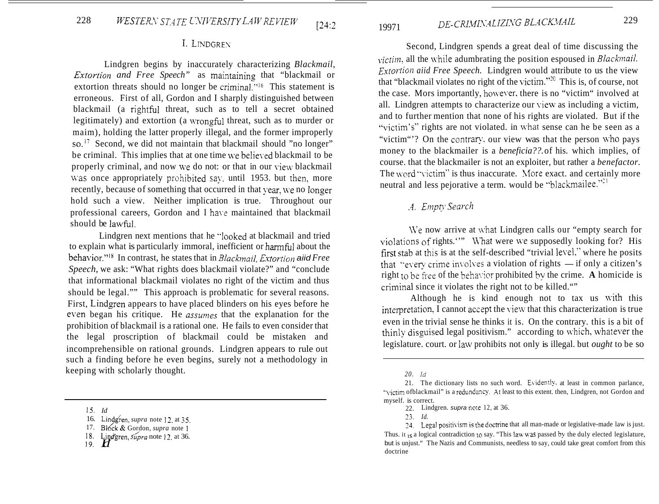### I. LINDGREN

Lindgren begins by inaccurately characterizing *Blackmail, Extortion and Free Speech*" as maintaining that "blackmail or extortion threats should no longer be criminal."<sup>16</sup> This statement is erroneous. First of all, Gordon and I sharply distinguished between blackmail (a rightful threat, such as to tell a secret obtained legitimately) and extortion (a wrongful threat, such as to murder or maim), holding the latter properly illegal, and the former improperly so.<sup>17</sup> Second, we did not maintain that blackmail should "no longer" be criminal. This implies that at one time we believed blackmail to be properly criminal, and now we do not: or that in our view blackmail was once appropriately prohibited say, until 1953. but then, more recently, because of something that occurred in that vear, we no longer hold such a view. Neither implication is true. Throughout our professional careers, Gordon and I have maintained that blackmail should be lawful.

Lindgren next mentions that he "looked at blackmail and tried to explain what is particularly immoral, inefficient or harmful about the behavior."<sup>18</sup> In contrast, he states that in *Blackmail*, *Extortion* aiid *Free Speech,* we ask: "What rights does blackmail violate?" and "conclude that informational blackmail violates no right of the victim and thus should be legal."" This approach is problematic for several reasons. First, Lindgren appears to have placed blinders on his eyes before he even began his critique. He *assumes* that the explanation for the prohibition of blackmail is a rational one. He fails to even consider that the legal proscription of blackmail could be mistaken and incomprehensible on rational grounds. Lindgren appears to rule out such a finding before he even begins, surely not a methodology in keeping with scholarly thought.

DE-CRIMINALIZING BLACKMAIL 19971

Second, Lindgren spends a great deal of time discussing the *victim, all the while adumbrating the position espoused in <i>Blackmail*, *Extortion aiid Free Speech.* Lindgren would attribute to us the view that "blackmail violates no right of the victim."<sup>20</sup> This is, of course, not the case. Mors importantly, however, there is no "victim" involved at all. Lindgren attempts to characterize our yiew as including a victim, and to further mention that none of his rights are violated. But if the "victim's" rights are not violated. in what sense can he be seen as a "victim"? On the contrary, our view was that the person who pays money to the blackmailer is a *beneficia??.* of his. which implies, of course. that the blackmailer is not an exploiter, but rather a *benefactor.*  The word "victim" is thus inaccurate. More exact. and certainly more neutral and less pejorative a term. would be "blackmailee."<sup>21</sup>

# **.4.** *Ei?ip~\* Searclt*

We now arrive at what Lindgren calls our "empty search for violations of rights."" What were we supposedly looking for? His first stab at this is at the self-described "trivial level," where he posits violations of rights."" What were we supposedly looking for? His<br>first stab at this is at the self-described "trivial level," where he posits<br>that "every crime involves a violation of rights — if only a citizen's right to be free of the behavior prohibited by the crime. A homicide is criminal since it violates the right not to be killed.""

Although he is kind enough not to tax us with this interpretation, I cannot accept the \.iew that this characterization is true even in the trivial sense he thinks it is. On the contrary. this is a bit of thinly disguised legal positivism." according to which, whatever the legislature. court. or law prohibits not only is illegal. but *ought* to be so

<sup>15.</sup>  *Id* 

<sup>16.</sup> Lindgren, *supra* note 12, at 35.

<sup>17.</sup> Block & Gordon, *supra* note 1

<sup>18.</sup>  Lind'gren, *3&ra* note 12. at 36.

 $^{18}$   $^{19}$   $^{10}$ 

*<sup>20.</sup> id* 

<sup>21.</sup> The dictionary lists no such word. Exidently. at least in common parlance, "victim ofblackmail" is a redundancy. At least to this extent. then, Lindgren, not Gordon and myself. is correct.

<sup>22.</sup> Lindgren. *supra* nore 12, at 36.

<sup>23.</sup> *Id.* 

<sup>24.</sup> Legal positivism is the doctrine that all man-made or legislative-made law is just. Thus. it **IS** a logical contradiction 10 say. "This law **w2s** passed by the duly elected legislature, but is unjust." The Nazis and Communists, needless to say, could take great comfort from this doctrine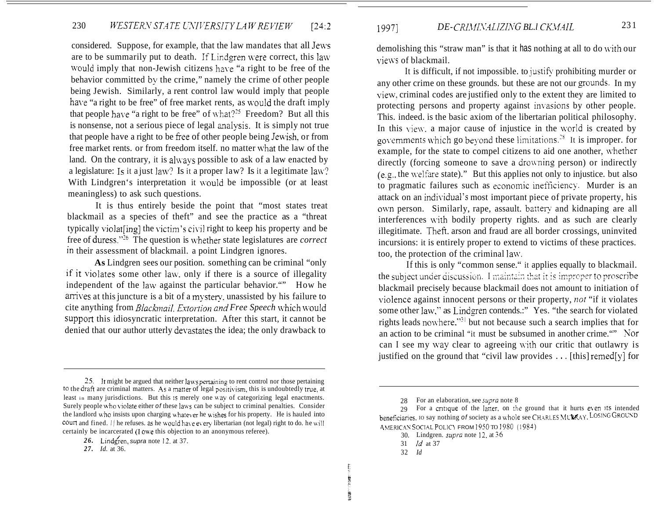# 230 *WESTERN STATE UNIVERSITY LAW REVIEW* [24:2]

considered. Suppose, for example, that the law mandates that all Jews are to be summarily put to death. If Lindgren were correct, this law would imply that non-Jewish citizens have "a right to be free of the behavior committed by the crime," namely the crime of other people being Jewish. Similarly, a rent control law would imply that people have "a right to be free" of free market rents, as would the draft imply that people have "a right to be free" of what?<sup>25</sup> Freedom? But all this is nonsense, not a serious piece of legal analysis. It is simply not true that people have a right to be free of other people being Jewish, or from free market rents. or from freedom itself. no matter what the law of the land. On the contrary, it is always possible to ask of a law enacted by a legislature: Is it a just law? Is it a proper law? Is it a legitimate law? With Lindgren's interpretation it would be impossible (or at least meaningless) to ask such questions.

It is thus entirely beside the point that "most states treat blackmail as a species of theft" and see the practice as a "threat typically violat $\lim_{n \to \infty}$  the victim's civil right to keep his property and be free of duress.''26 The question is ivhether state legislatures are *correct*  in their assessment of blackmail. a point Lindgren ignores.

**As** Lindgren sees our position. something can be criminal "only if it violates some other lam.. only if there is a source of illegality independent of the law against the particular behavior."" How he arrives at this juncture is a bit of a mystery, unassisted by his failure to cite anything from *Blackmail. Extortion and Free Speech which would* support this idiosyncratic interpretation. After this start, it cannot be denied that our author utterly devastates the idea; the only drawback to

demolishing this "straw man" is that it has nothing at all to do with our views of blackmail.

It is difficult, if not impossible. to justify prohibiting murder or any other crime on these grounds. but these are not our grounds. In my ~~iew, criminal codes are justified only to the extent they are limited to protecting persons and property against invasions by other people. This. indeed. is the basic axiom of the libertarian political philosophy. In this view, a major cause of injustice in the world is created by governments which go beyond these limitations.<sup>28</sup> It is improper. for example, for the state to compel citizens to aid one another, whether directly (forcing someone to save a drowning person) or indirectly  $(e.g., the welfare state)."$  But this applies not only to injustice. but also to pragmatic failures such as economic inefficiency. Murder is an attack on an individual's most important piece of private property, his own person. Similarly, rape, assault. battery and kidnaping are all interferences with bodily property rights, and as such are clearly illegitimate. Thefi. arson and fraud are all border crossings, uninvited incursions: it is entirely proper to extend to victims of these practices. too, the protection of the criminal lam,.

If this is only "common sense." it applies equally to blackmail. blackmail precisely because blackmail does not amount to initiation of violence against innocent persons or their property, *not* "if it violates some other law," as Lindgren contends.:" Yes. "the search for violated rights leads nowhere."<sup>31</sup> but not because such a search implies that for an action to be criminal "it must be subsumed in another crime."" Kor can I see my way clear to agreeing with our critic that outlawry is justified on the ground that "civil law provides . . . [this] remed[y] for the subject under discussion. I maintain that it is improper to proscribe

- 30. Lindgren. *supra* note 12, at 36
- 31 *Id* at 37
- 32 *Id*

**NEW CARRISON** 

*<sup>25.</sup>* It might be argued that neither **laas** penajning to rent control nor those pertaining to the draft are criminal matters. As a matter of legal positivism, this is undoubtedly true, at least in many jurisdictions. But this is merely one way of categorizing legal enactments. Surely people who violate either *of* these laws can be subject to criminal penalties. Consider the landlord who insists upon charging whatever he wishes for his property. He is hauled into court and fined. *If he refuses.* as he would have every libertarian (not legal) right to do. he will certainly be incarcerated (1 owe this objection to an anonymous referee).

**<sup>26.</sup>** Lindgren, *supra* note 12. at 37.

*<sup>27.</sup> Id.* at 36.

<sup>28</sup>  For an elaboration, see *supra* note 8

<sup>29</sup> For a critique of the latter, on the ground that it hurts even its intended beneficiaries. Io say nothing *of society as a whole see CHARLES MURRAY*. LOSING GROUND AMERICAN SOCIAL POLICY FROM 1950 TO 1980 (1984)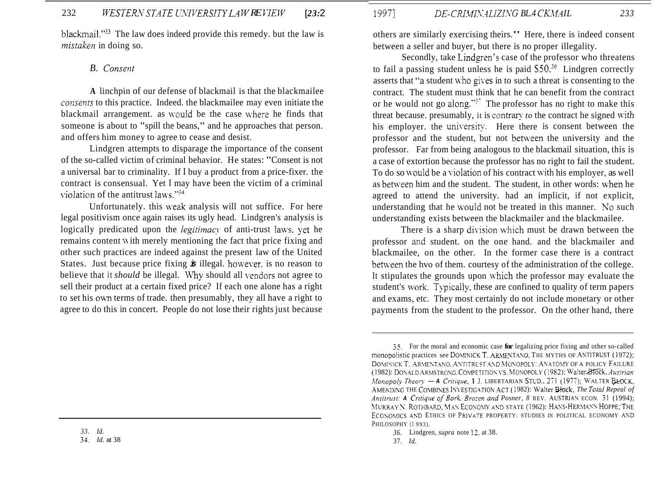blackmail." $^{32}$  The law does indeed provide this remedy, but the law is *mistaken* in doing so.

### *B. Corrserit*

**A** linchpin of our defense of blackmail is that the blackmailee *consents* to this practice. Indeed, the blackmailee may even initiate the blackmail arrangement, as would be the case where he finds that someone is about to "spill the beans," and he approaches that person. and offers him money to agree to cease and desist.

Lindgren attempts to disparage the importance of the consent of the so-called victim of criminal behavior. He states: "Consent is not a universal bar to criminality. If I buy a product from a price-fixer. the contract is consensual. Yet I may have been the victim of a criminal violation of the antitrust laws."<sup>34</sup>

Unfortunately. this weak analysis will not suffice. For here legal positivism once again raises its ugly head. Lindgren's analysis is logically predicated upon the *legitimacy* of anti-trust laws, yet he remains content with merely mentioning the fact that price fixing and other such practices are indeed against the present law of the United States. Just because price fixing *is* illegal. homvever. is no reason to believe that it *should* be illegal. Why should all vendors not agree to sell their product at a certain fixed price? If each one alone has a right to set his own terms of trade. then presumably, they all have a right to agree to do this in concert. People do not lose their rights just because

*33. Id.* 

**31.** *Id.* at 38

# 1997] *DE-CRIMINALIZING BLA CKMAIL* 233

others are similarly exercising theirs." Here, there is indeed consent between a seller and buyer, but there is no proper illegality.

Secondly, take Lindgren's case of the professor who threatens to fail a passing student unless he is paid  $S50.<sup>36</sup>$  Lindgren correctly asserts that "a student who gives in to such a threat is consenting to the contract. The student must think that he can benefit from the contract or he would not go along."<sup>37</sup> The professor has no right to make this threat because. presumably, it is contrary  $to$  the contract he signed with his employer. the university. Here there is consent between the professor and the student, but not between the university and the professor. Far from being analogous to the blackmail situation, this is a case of extortion because the professor has no right to fail the student. To do so would be a violation of his contract with his employer, as well as between him and the student. The student, in other words: when he agreed to attend the university. had an implicit, if not explicit, understanding that he \vould not be treated in this manner. *Xo* such understanding exists between the blackmailer and the blackmailee.

There is a sharp division which must be drawn between the professor and student. on the one hand. and the blackmailer and blackmailee, on the other. In the former case there is a contract between the hvo of them. courtesy of the administration of the college. It stipulates the grounds upon which the professor may evaluate the student's work. Typically, these are confined to quality of term papers and exams, etc. They most certainly do not include monetary or other payments from the student to the professor. On the other hand, there

*<sup>35.</sup>* For the moral and economic case **for** legalizing price fixing and other so-called monopolistic practices see DOMINICK T. ARMENTANO, THE MYTHS OF ANTITRUST (1972); (1982): DONALD ARMSTRONG. COMPETITION VS. MONOPOLY (1982); Walter<sub>B</sub>IGCk, Austrian AMENDING THE COMBINES INVESTIGATION ACT (1982): Walter Block, *The Total Repeal of Antitrust: A Critique of Bork, Brozen and Posner, 8 REV. AUSTRIAN ECON. 31 (1994);* MURRAY N. ROTHBARD, MAN ECONOMY AND STATE (1962): HANS-HERMANN HOPPE; THE ECONOMICS AND ETHICS OF PRIVATE PROPERTY: STUDIES IN POLITICAL ECONOMY AND DOMINICK T. ARMENTANO, ANTITRUST AND MONOPOLY: ANATOMY OF A POLICY FAILURE *Monopoly Theory - A Critique, 1 J. LIBERTARIAN STUD., 271 (1977); WALTER BLOCK,* PHILOSOPHY (1993).

*<sup>36.</sup>*  Lindgren, *supra* note I?. at 38.

<sup>37.</sup> *Id.*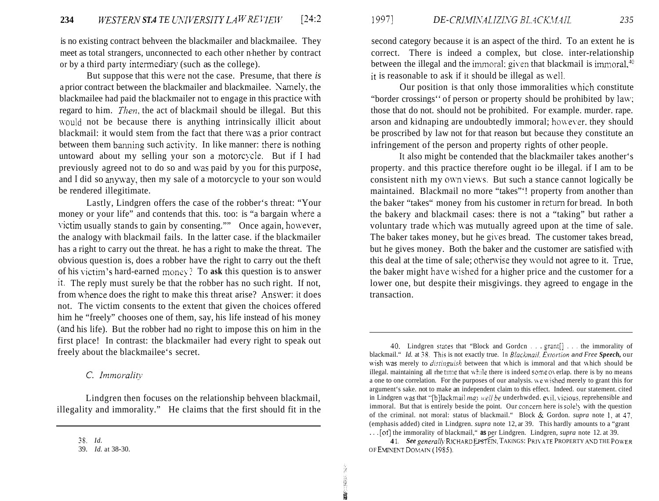is no existing contract behveen the blackmailer and blackmailee. They meet as total strangers, unconnected to each other n-hether by contract or by a third party intermediary (such as the college).

But suppose that this were not the case. Presume, that there *is* a prior contract between the blackmailer and blackmailee. Yamely, the blackmailee had paid the blackmailer not to engage in this practice with regard to him. *Then,* the act of blackmail should be illegal. But this would not be because there is anything intrinsically illicit about blackmail: it would stem from the fact that there was a prior contract between them banning such activity. In like manner: there is nothing untoward about my selling your son a motorcycle. But if I had previously agreed not to do so and was paid by you for this purpose, and I did so anyway, then my sale of a motorcycle to your son would be rendered illegitimate.

Lastly, Lindgren offers the case of the robber's threat: "Your money or your life" and contends that this. too: is "a bargain where a victim usually stands to gain by consenting."" Once again, however, the analogy with blackmail fails. In the latter case. if the blackmailer has a right to carry out the threat. he has a right to make the threat. The obvious question is, does a robber have the right to carry out the theft of his \.ictim's hard-earned mons\-? To **ask** this question is to answer it. The reply must surely be that the robber has no such right. If not, from whence does the right to make this threat arise? Answer: it does not. The victim consents to the extent that given the choices offered him he "freely" chooses one of them, say, his life instead of his money (and his life). But the robber had no right to impose this on him in the first place! In contrast: the blackmailer had every right to speak out freely about the blackmailee's secret.

### C. Immorality

Lindgren then focuses on the relationship behveen blackmail, illegality and immorality." He claims that the first should fit in the

second category because it is an aspect of the third. To an extent he is correct. There is indeed a complex, but close. inter-relationship between the illegal and the immoral: given that blackmail is immoral, $40$ it is reasonable to ask if it should be illegal as well.

Our position is that only those immoralities which constitute "border crossings'' of person or property should be prohibited by law; those that do not. should not be prohibited. For example. murder. rape. arson and kidnaping are undoubtedly immoral; however, they should be proscribed by law not for that reason but because they constitute an infringement of the person and property rights of other people.

It also might be contended that the blackmailer takes another's property. and this practice therefore ought io be illegal. if I am to be consistent nith my own views. But such a stance cannot logically be maintained. Blackmail no more "takes"'! property from another than the baker "takes" money from his customer in return for bread. In both the bakery and blackmail cases: there is not a "taking" but rather a voluntary trade which was mutually agreed upon at the time of sale. The baker takes money, but he gives bread. The customer takes bread, but he gives money. Both the baker and the customer are satisfied \vith this deal at the time of sale; otherwise they would not agree to it. True, the baker might have wished for a higher price and the customer for a lower one, but despite their misgivings. they agreed to engage in the transaction.

is<br>18

1999年10月

<sup>38.</sup> *Id.* 

<sup>39.</sup> *Id.* at 38-30.

*<sup>30.</sup>* Lindgren sta:es that "Block and Gordcn . . . grant[j . . . the immorality of blackmail." *Id.* at 38. This is not exactly true. In *Blackmail, Extortion and Free Speech*, our wish was merely to *distinguish* between that which is immoral and that which should be illegal. maintaining all rhe time that while there is indeed some overlap. there is by no means a one to one correlation. For the purposes of our analysis. we wished merely to grant this for argument's sake. not to make an independent claim to this effect. Indeed. our statement. cited in Lindgren was that "[b]lackmail *may well be* underhwded. *evil, vicious*, reprehensible and immoral. But that is entirely beside the point. Our concern here is solely with the question of the criminal. not moral: status of blackmail." Block & Gordon. *supra* note 1; at *37:*  (emphasis added) cited in Lindgren. *supra* note 12, ar 39. This hardly amounts to a "grant . . . [ot] the immorality of blackmail," **as** per Lindgren. Lindgren, *supra* note 12. at 39.

OF EMINENT DOMAIN (1985). **41.** See generally RICHARD EPSTEIN, TAKINGS: PRIVATE PROPERTY AND THE POWER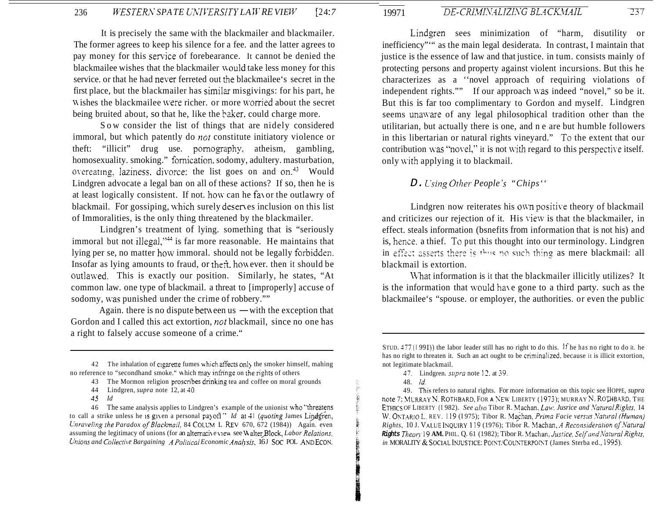It is precisely the same with the blackmailer and blackmailer. The former agrees to keep his silence for a fee. and the latter agrees to pay money for this service of forebearance. It cannot be denied the blackmailee wishes that the blackmailer **n** ould take less money for this service. or that he had never ferreted out the blackmailee's secret in the first place, but the blackmailer has similar misgivings: for his part, he Wishes the blackmailee were richer. or more worried about the secret being bruited about, so that he, like the baker. could charge more.

Sow consider the list of things that are nidely considered immoral, but which patently do *not* constitute initiatory violence or theft: "illicit" drug use. pornography, atheism, gambling, homosexuality. smoking." fomication. sodomy, adultery. masturbation, overeating. laziness. divorce: the list goes on and on.<sup>43</sup> Would Lindgren advocate a legal ban on all of these actions? If so, then he is at least logically consistent. If not. how can he fa\ or the outlawry of blackmail. For gossiping, which surely deserves inclusion on this list of Immoralities, is the only thing threatened by the blackmailer.

Lindgren's treatment of lying. something that is "seriously immoral but not illegal,"<sup>44</sup> is far more reasonable. He maintains that lying per se, no matter how immoral. should not be legally forbiddzn. Insofar as lying amounts to fraud, or theft, however, then it should be outlawed. This is exactly our position. Similarly, he states, "At common law. one type of blackmail. a threat to [improperly] accuse of sodomy, was punished under the crime of robbery.""

Again. there is no dispute between  $us$  — with the exception that Gordon and I called this act extortion, *not* blackmail, since no one has a right to falsely accuse someone of a crime."

**45** *Id* 

 $\overline{237}$ 

Lindgren sees minimization of "harm, disutility or inefficiency"'" as the main legal desiderata. In contrast, I maintain that justice is the essence of law and that justice. in tum. consists mainly of protecting persons and property against violent incursions. But this he characterizes as a ''novel approach of requiring violations of independent rights."" If our approach was indeed "novel," so be it. But this is far too complimentary to Gordon and myself. Lindgren seems unaware of any legal philosophical tradition other than the utilitarian, but actually there is one, and ne are but humble followers in this libertarian or natural rights vineyard." To the extent that our contribution was "novel," it is not with regard to this perspective itself. only with applying it to blackmail.

### *D. Lysing Other People* 's *"Chips''*

Lindgren now reiterates his own positive theory of blackmail and criticizes our rejection of it. His view is that the blackmailer, in effect. steals information (bsnefits from information that is not his) and is, hence. a thief. To put this thought into our terminology. Lindgren in effect asserts there is thus no such thing as mere blackmail: all blackmail is extortion.

\%hat information is it that the blackmailer illicitly utilizes? It is the information that would have gone to a third party. such as the blackmailee's "spouse. or employer, the authorities. or even the public

19971

49. Tbis refers to natural rights. For more information on this topic see HOPPE, *supra*  ETHICS OF LIBERTY (1982). See also Tibor R. Machan, Law, Jusrice and Natural Rights, 14 W. ONTARIO L. REV. 119 (1975); Tibor R. Machan, *Prima Facie versus Natural (Human) Rights,* 10 J. VALUE iNQUlRY 119 (1976); Tibor R. Machan, **.4** *Reconsiderarioti of.4'arural Rights Theory.* 19 AM. PHIL. Q. 61 (1982); Tibor R. Machan, Justice, Self and Natural Rights, *in MORALITY & SOCIAL INJUSTICE: POINT/COUNTERPOINT (James Sterba ed., 1995).* note 7; MURRAY N. ROTHBARD, FOR A NEW LIBERTY (1973); MURRAY N. ROTHBARD, THE

<sup>42</sup>  The inhalation of cigarene fumes nhich dfects only the smoker himself, mahing no reference to "secondhand smoke." which may infringe on the rights of others

<sup>43</sup> The Mormon religion proscribes drinking tea and coffee on moral grounds

<sup>44</sup>  Lindgren, *supra* note 12, at 40

<sup>46</sup> The same analysis applies to Lindgren's example of the unionist who "threatens" to call a strike unless he is given a personal payoff " *Id at 41 (quoting James Lindgren, Lnraveling the Paradox of Blackmail, 84 COLUM L REV 670, 672 (1984))* Again. even assuming the legitimacy of unions (for an alternative view see Walter Block, *Labor Relations*, *hons and Collecti\ e Bargaining .4 Polrircul Economic Ana!isis,* 16 J *SoC* POL **AYD** ECON.

STUD. 477 (1991)) the labor leader still has no right to do this. If he has no right to do it. he has no right to threaten it. Such an act ought to be criminalized. because it is illicit extortion, not legitimate blackmail.

<sup>17.</sup>  Lindgren. *siqm* note 12. at *39.* 

<sup>48.</sup> *Id.*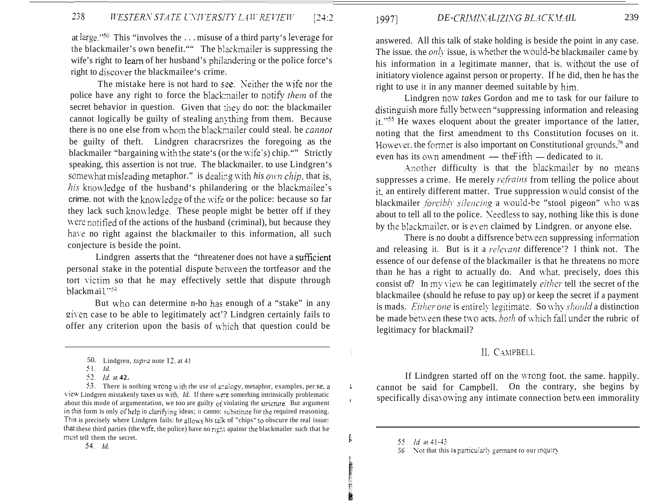at large." $50$  This "involves the ... misuse of a third party's leverage for the blackmailer's own benefit."" The blzckmailer is suppressing the wife's right to learn of her husband's philandering or the police force's right to discover the blackmailee's crime.

The mistake here is not hard to see. Neither the wife nor the police have any right to force the blackmailer to notify *them* of the secret behavior in question. Given that they do not: the blackmailer cannot logically be guilty of stealing anything from them. Because there is no one else from whom the blackmailer could steal. he *cannot* be guilty of theft. Lindgren characrsrizes the foregoing as the blackmailer "bargaining with the state's (or the wife's) chip."" Strictly speaking, this assertion is not true. The blackmailer. to use Lindgren's somewhat misleading metaphor." is dealing with *his own chip*, that is, *his* knowledge of the husband's philandering or the blackmailee's crime. not with the knowledge of the wife or the police: because so far they lack such knowledge. These people might be better off if they were notified of the actions of the husband (criminal), but because they have no right against the blackmailer to this information, all such conjecture is beside the point.

Lindgren asserts that the "threatener does not have a sufficient personal stake in the potential dispute between the tortfeasor and the tort victim so that he may effectively settle that dispute through blackmail."54

But who can determine n-ho has enough of a "stake" in any given case to be able to legitimately act'? Lindgren certainly fails to offer any criterion upon the basis of which that question could be

53. There is nothing wrong with rhe use of analogy, metaphor, examples, per se, a \.iew Lindgren mistakenly taxes us \vith. *Id.* If there \\=e somerhing intrinsically problematic about this mode of argumentation, we too are guilty of violating the stricture. But argument in this form is only of help in clarifying ideas; it canno: substitute for the required reasoning. This is precisely where Lindgren fails: he allo\vs his **tzik** of "chips" to obscure the real issue: that these third parties (the wife, the police) have no right apainsr the blackmailer such that he must tell them the secret.

1997] *DE-CRIMINALIZING BLACKMAIL* 239

answered. All this talk of stake holding is beside the point in any case. The issue. the *only* issue, is whether the would-be blackmailer came by his information in a legitimate manner, that is. without the use of initiatory violence against person or property. If he did, then he has the right to use it in any manner deemed suitable by him.

Lindgren now *takes* Gordon and me to task for our failure to distinguish more fully between "suppressing information and releasing it."<sup>55</sup> He waxes eloquent about the greater importance of the latter, noting that the first amendment to ths Constitution focuses on it. However, the former is also important on Constitutional grounds,  $56$  and noting that the first amendment to ths Constitution focus<br>However, the former is also important on Constitutional grour<br>even has its own amendment — the Fifth — dedicated to it.

Another difficulty is that the blackmailer by no means suppresses a crime. He merely *refrains* from telling the police about it, an entirely different matter. True suppression would consist of the blackmailer *forcibly silencing* a would-be "stool pigeon" who was about to tell all to the police. Xeedless to say, nothing like this is done by the blackmailer, or is even claimed by Lindgren. or anyone else.

There is no doubt a diffsrence between suppressing information and releasing it. But is it a *relevant* difference'? I think not. The essence of our defense of the blackmailer is that he threatens no more than he has a right to actually do. And what. precisely, does this consist of? In my view he can legitimately *either* tell the secret of the blackmailee (should he refuse to pay up) or keep the secret if a payment is mads. *Either one* is entirely legitimate. So why *should* a distinction be made between these two acts. *both* of which fall under the rubric of legitimacy for blackmail?

#### II. CAMPBELL

If Lindgren started off on the wrong foot. the same. happily. **i** cannot be said for Campbell. On the contrary, she begins by  $\mu$  specifically disayowing any intimate connection between immorality

**t L** 

<sup>50.</sup> Lindgren, *supra* note 12. at 41

<sup>51.</sup> *Id.* 

*<sup>62.</sup> Id.* at **42.** 

**<sup>54.</sup>** *Id.* 

*<sup>55</sup> Id* at 41-43

<sup>56</sup> Not that this **is** particularly germane *to* our inquiry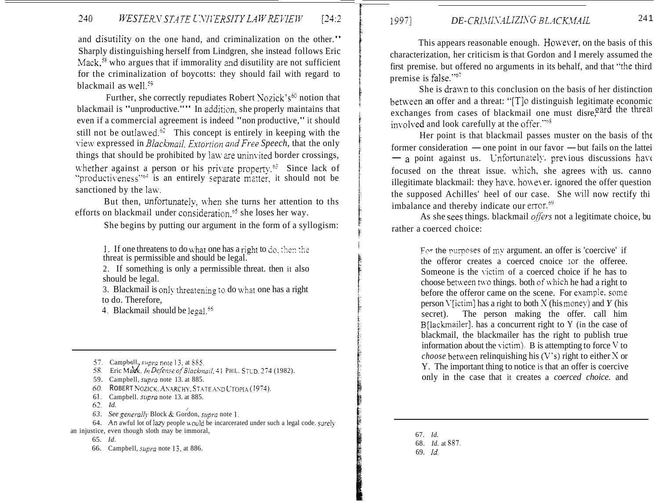# 240 *WESTERN STATE UNIVERSITY LAW REVIEW* [24:2]

and disutility on the one hand, and criminalization on the other." Sharply distinguishing herself from Lindgren, she instead follows Eric Mack, $58$  who argues that if immorality and disutility are not sufficient for the criminalization of boycotts: they should fail with regard to blackmail as well.<sup>59</sup>

Further, she correctly repudiates Robert Nozick's<sup>60</sup> notion that blackmail is "unproductive."" In addition, she properly maintains that even if a commercial agreement is indeed "non productive," it should still not be outlawed.<sup>62</sup> This concept is entirely in keeping with the \.iew expressed in *Blachail. Extortion and Free Speech,* that the only things that should be prohibited by law are uninvited border crossings, whether against a person or his private property.<sup>63</sup> Since lack of "productiveness" $e^{i\phi}$  is an entirely separate matter, it should not be sanctioned by the law.

But then, unfortunately, when she turns her attention to ths efforts on blackmail under consideration. $~^{65}$  she loses her way.

She begins by putting our argument in the form of a syllogism:

1. If one threatens to do what one has a right to do. *ihen the* threat is permissible and should be legal.

2. If something is only a permissible threat. then it also should be legal.

3. Blackmail is only threatening to do what one has a right to do. Therefore,

*3.* Blackmail should be legal.'5

57. Campbell, *supra* note 13, at 885.

58. Eric Mauk, *In Defense of Blackmail*, 41 PHIL. STUD. 274 (1982).

- 59. Campbell, *supra* note 13. at 885.
- 60. ROBERT NOZICK, ANARCHY, STATE AND UTOPIA (1974).
- 6 I. Campbell. *siipra* note 13. at 885.
- *62. Id.*
- *63. See gerieral!\,* Block & Gordon, *sirpro* note 1. /

64. An awful lot of lazy people would be incarcerated under such a legal code. surely an injustice, even though sloth may be immoral,

65. *Id.* 

66. Campbell, *supra* note 13, at 886.

## 1997] *DE-CRIMINALIZING BLACKMAIL*

This appears reasonable enough. However, on the basis of this characterization, her criticism is that Gordon and I merely assumed the first premise, but offered no arguments in its behalf, and that "the third premise is false." $67$ 

She is draum to this conclusion on the basis of her distinction between an offer and a threat: " $[T]$ <sup>o</sup> distinguish legitimate economic exchanges from cases of blackmail one must disre, and the threat involved and look carefully at the offer."<sup>68</sup>

Her point is that blackmail passes muster on the basis of thc former consideration  $\equiv$  one point in our favor  $\equiv$  but fails on the lattei  $-$  a point against us. Unfortunately, previous discussions have focused on the threat issue. which, she agrees with us. canno illegitimate blackmail: they have, however, ignored the offer question the supposed Achilles' heel of our case. She will now rectify thi imbalance and thereby indicate our error. $69$ 

As she sees things. blackmail *offers* not a legitimate choice, bu rather a coerced choice:

> For the purposes of my argument. an offer is 'coercive' if the offeror creates a coerced cnoice Ior the offeree. Someone is the victim of a coerced choice if he has to choose between two things. both of which he had a right to before the offeror came on the scene. For example. sone person V[ictim] has a right to both  $X$  (his money) and  $Y$  (his secret). The person making the offer. call him B[lackmailer], has a concurrent right to Y (in the case of blackmail, the blackmailer has the right to publish true information about the victim). B is attempting to force  $V$  to *choose* between relinquishing his  $(V's)$  right to either X or Y. The important thing to notice is that an offer is coercive only in the case that it creates a *coerced choice.* and

67. *Id.* 

- 68. *Id.* at 887.
- 69. *Id.*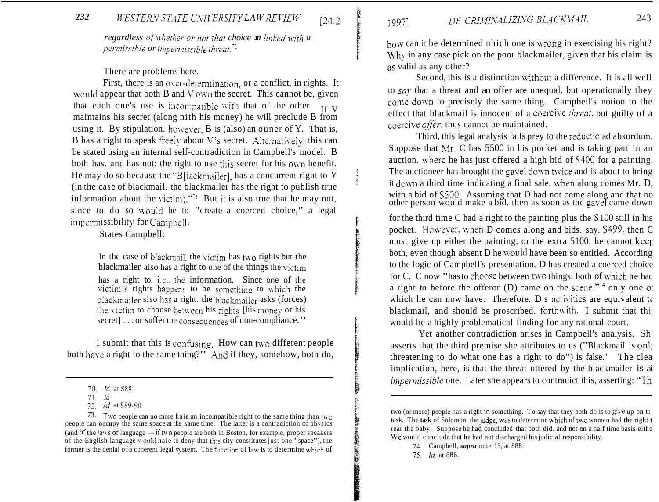#### 232 WESTERN STATE UNIVERSITY LAW REVIEW

regardless of whether or not that choice in linked with a permissible or impermissible threat.<sup>70</sup>

 $124:2$ 

19971

There are problems here.

First, there is an over-determination, or a conflict, in rights. It would appear that both  $B$  and  $V$  own the secret. This cannot be, given that each one's use is incompatible with that of the other.  $_{If V}$ maintains his secret (along nith his money) he will preclude B from using it. By stipulation. however, B is (also) an ouner of Y. That is, B has a right to speak freely about V's secret. Alternatively, this can be stated using an internal self-contradiction in Campbell's model. B both has, and has not: the right to use this secret for his own benefit. He may do so because the "B[lackmailer], has a concurrent right to  $Y$ (in the case of blackmail. the blackmailer has the right to publish true information about the victim).  $\mathbb{R}^1$  But it is also true that he may not, since to do so would be to "create a coerced choice," a legal impermissibility for Campbell.

**States Campbell:** 

In the case of blackmail, the victim has two rights but the blackmailer also has a right to one of the things the victim has a right to. i.e., the information. Since one of the victim's rights happens to be something to which the blackmailer slso has a right, the blackmailer asks (forces) the victim to choose between his rights [his money or his secret]... or suffer the consequences of non-compliance."

I submit that this is confusing. How can two different people both have a right to the same thing?" And if they, somehow, both do, how can it be determined nhich one is wrong in exercising his right? Why in any case pick on the poor blackmailer, given that his claim is as valid as any other?

Second, this is a distinction without a difference. It is all well to say that a threat and an offer are unequal, but operationally they come down to precisely the same thing. Campbell's notion to the effect that blackmail is innocent of a coercive threat. but guilty of a coercive offer, thus cannot be maintained.

Third, this legal analysis falls prey to the reductio ad absurdum. Suppose that Mr. C has 5500 in his pocket and is taking part in an auction, where he has just offered a high bid of \$400 for a painting. The auctioneer has brought the gavel down twice and is about to bring it down a third time indicating a final sale, when along comes Mr. D. with a bid of \$500. Assuming that D had not come along and that no other person would make a bid. then as soon as the gavel came down

for the third time  $C$  had a right to the painting plus the  $S100$  still in his pocket. However, when D comes along and bids. say. \$499, then C must give up either the painting, or the extra 5100: he cannot keep both, even though absent D he would have been so entitled. According to the logic of Campbell's presentation. D has created a coerced choice for C. C now "has to choose between two things, both of which he hac a right to before the offeror (D) came on the scene."<sup>4</sup> only one of which he can now have. Therefore. D's activities are equivalent to blackmail, and should be proscribed. forthwith. I submit that this would be a highly problematical finding for any rational court.

Yet another contradiction arises in Campbell's analysis. She asserts that the third premise she attributes to us ("Blackmail is only threatening to do what one has a right to do") is false." The clea implication, here, is that the threat uttered by the blackmailer is ai *impermissible* one. Later she appears to contradict this, asserting: "The

75. *Id.* at 886.

<sup>70</sup> *Id* at 888.

 $71$   $Id$ 

<sup>72</sup> *Id.* at 889-90.

<sup>73.</sup> Two people can no more haie an incompatible right to the same thing than two people can occupy the same space at the same time. The latter is a contradiction of physics (and of the laws of language  $\frac{1}{\sqrt{1}}$  if two people are both in Boston, for example, proper speakers of the English language would haie to deny that this city constitutes just one "space"), the former is the denial of a coherent legal system. The function of law is to determine which of

two (or more) people has a right to something. To say that they both do is to give up on the task. The task of Solomon, the judge, was to determine which of two women had the right t rear the baby. Suppose he had concluded that both did. and not on a half time basis eithe We would conclude that he had not discharged his judicial responsibility.

<sup>74.</sup> Campbell, *supra* note 13, at 888.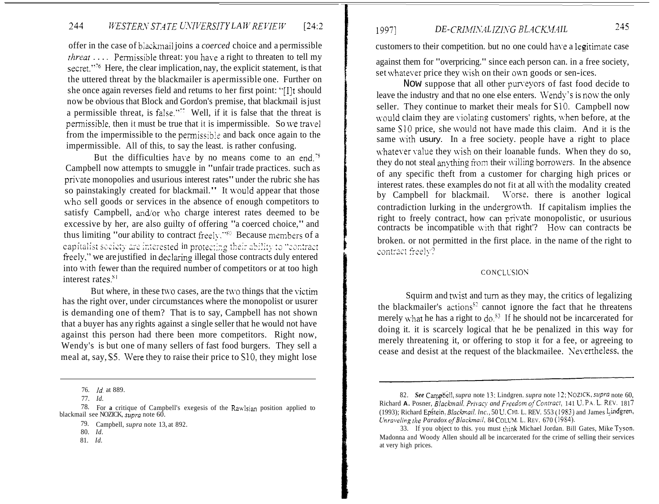# 244 *WESTERN STATE UNIVERSITY LAW REVIEW* [24:2]

offer in the case of blackmail joins a *coerced* choice and a permissible *threat*  $\ldots$  Permissible threat: you have a right to threaten to tell my secret."<sup>76</sup> Here, the clear implication, nay, the explicit statement, is that the uttered threat by the blackmailer is apermissible one. Further on she once again reverses field and retums to her first point: "[I]t should now be obvious that Block and Gordon's premise, that blackmail is just a permissible threat, is false."<sup> $\bar{z}$ </sup> Well, if it is false that the threat is permissible, then it must be true that it is impermissible. So we travel from the impermissible to the permissible and back once again to the impermissible. All of this, to say the least. is rather confusing.

But the difficulties have by no means come to an end.<sup>78</sup> Campbell now attempts to smuggle in "unfair trade practices. such as private monopolies and usurious interest rates" under the rubric she has so painstakingly created for blackmail." It would appear that those who sell goods or services in the absence of enough competitors to satisfy Campbell, and/or who charge interest rates deemed to be excessive by her, are also guilty of offering "a coerced choice," and thus limiting "our ability to contract freely," $\mathcal{S}^{\circ}$  Because members of a capitalist society are interested in protecting their ability to "contra freely," we are justified in declaring illegal those contracts duly entered into with fewer than the required number of competitors or at too high interest rates.<sup>81</sup>

But where, in these two cases, are the two things that the victim has the right over, under circumstances where the monopolist or usurer is demanding one of them? That is to say, Campbell has not shown that a buyer has any rights against a single seller that he would not have against this person had there been more competitors. Right now, Wendy's is but one of many sellers of fast food burgers. They sell a meal at, say, *\$5.* Were they to raise their price to *S* 10, they might lose

81. *Id.* 

# 1997] *DE-CRIMINALIZING BLACKMAIL* 245

customers to their competition, but no one could have a legitimate case

against them for "overpricing." since each person can. in a free society, set whatever price they wish on their own goods or sen-ices.

Now suppose that all other pun'eyors of fast food decide to leave the industry and that no one else enters. Wendy's is now the only seller. They continue to market their meals for S10. Campbell now would claim they are violating customers' rights, when before, at the same S10 price, she would not have made this claim. And it is the same with usury. In a free society, people have a right to place whatever value they wish on their loanable funds. When they do so, they do not steal anything from their willing borrowers. In the absence of any specific theft from a customer for charging high prices or interest rates. these examples do not fit at all \vith the modality created by Campbell for blackmail. Worse, there is another logical contradiction lurking in the undergrowth. If capitalism implies the right to freely contract, how can priyate monopolistic, or usurious contracts be incompatible with that right'? How can contracts be broken. or not permitted in the first place. in the name of the right to contract freely?

#### **CONCLUSION**

Squirm and twist and turn as they may, the critics of legalizing the blackmailer's actions<sup> $s<sub>2</sub>$ </sup> cannot ignore the fact that he threatens merely what he has a right to do.<sup>83</sup> If he should not be incarcerated for doing it. it is scarcely logical that he be penalized in this way for merely threatening it, or offering to stop it for a fee, or agreeing to cease and desist at the request of the blackmailee. Nevertheless, the

<sup>76.</sup> *Id.* at 889.

<sup>77.</sup> *Id.* 

<sup>78.</sup> For a critique of Campbell's exegesis of the Rawlsian position applied to blackmail see NOZICK, *stpro* note 60.

<sup>79.</sup>  Campbell, *supra* note 13, at 892.

<sup>80.</sup> *Id.* 

<sup>82.</sup> *See Campbell, supra note 13; Lindgren. <i>supra note 12; NOZICK, supra note 60*, Richard A. Posner, *Blackmail, Privacy and Freedom of Contract*, 141 U. P.A. L. REV. 1817 (1993); Richard Epstein, *Blackmail, lnc.*, 50 U. CHI. L. REV. 553 (1983) and James Lindgren, *Chraveling the Paradox of Blackmail*, 84 COLUM. L. REV. 670 (1984).

<sup>33.</sup> If you object to this. you must think Michael Jordan. Bill Gates, Mike Tyson. Madonna and Woody Allen should all be incarcerated for the crime of selling their services at very high prices.